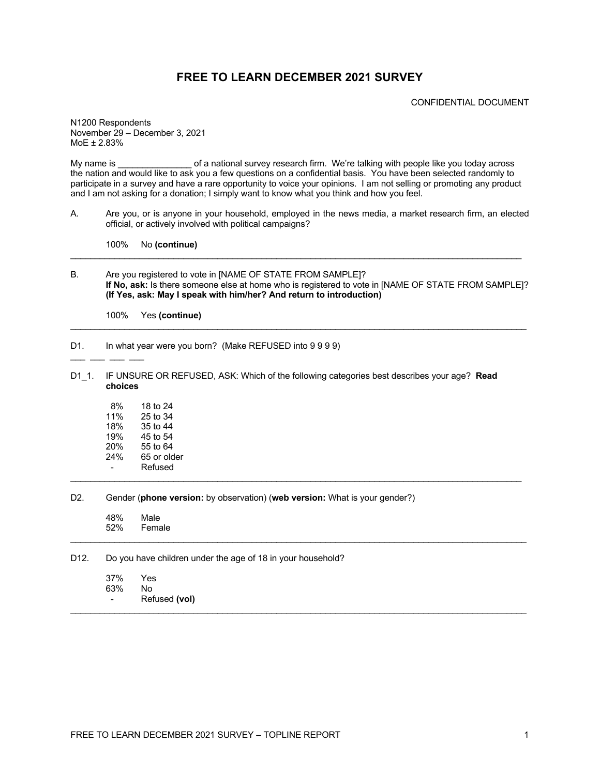### **FREE TO LEARN DECEMBER 2021 SURVEY**

CONFIDENTIAL DOCUMENT

N1200 Respondents November 29 – December 3, 2021 MoE ± 2.83%

My name is equal of a national survey research firm. We're talking with people like you today across the nation and would like to ask you a few questions on a confidential basis. You have been selected randomly to participate in a survey and have a rare opportunity to voice your opinions. I am not selling or promoting any product and I am not asking for a donation; I simply want to know what you think and how you feel.

A. Are you, or is anyone in your household, employed in the news media, a market research firm, an elected official, or actively involved with political campaigns?

100% No **(continue)**

B. Are you registered to vote in [NAME OF STATE FROM SAMPLE]? **If No, ask:** Is there someone else at home who is registered to vote in [NAME OF STATE FROM SAMPLE]? **(If Yes, ask: May I speak with him/her? And return to introduction)**

 $\mathcal{L}_\mathcal{L} = \{ \mathcal{L}_\mathcal{L} = \{ \mathcal{L}_\mathcal{L} = \{ \mathcal{L}_\mathcal{L} = \{ \mathcal{L}_\mathcal{L} = \{ \mathcal{L}_\mathcal{L} = \{ \mathcal{L}_\mathcal{L} = \{ \mathcal{L}_\mathcal{L} = \{ \mathcal{L}_\mathcal{L} = \{ \mathcal{L}_\mathcal{L} = \{ \mathcal{L}_\mathcal{L} = \{ \mathcal{L}_\mathcal{L} = \{ \mathcal{L}_\mathcal{L} = \{ \mathcal{L}_\mathcal{L} = \{ \mathcal{L}_\mathcal{$ 

 $\mathcal{L}_\mathcal{L} = \{ \mathcal{L}_\mathcal{L} = \{ \mathcal{L}_\mathcal{L} = \{ \mathcal{L}_\mathcal{L} = \{ \mathcal{L}_\mathcal{L} = \{ \mathcal{L}_\mathcal{L} = \{ \mathcal{L}_\mathcal{L} = \{ \mathcal{L}_\mathcal{L} = \{ \mathcal{L}_\mathcal{L} = \{ \mathcal{L}_\mathcal{L} = \{ \mathcal{L}_\mathcal{L} = \{ \mathcal{L}_\mathcal{L} = \{ \mathcal{L}_\mathcal{L} = \{ \mathcal{L}_\mathcal{L} = \{ \mathcal{L}_\mathcal{$ 

100% Yes **(continue)**

D1. In what year were you born? (Make REFUSED into 9999)

- $\_$   $\_$   $\_$   $\_$
- D1\_1. IF UNSURE OR REFUSED, ASK: Which of the following categories best describes your age? **Read choices**

 $\mathcal{L}_\mathcal{L} = \{ \mathcal{L}_\mathcal{L} = \{ \mathcal{L}_\mathcal{L} = \{ \mathcal{L}_\mathcal{L} = \{ \mathcal{L}_\mathcal{L} = \{ \mathcal{L}_\mathcal{L} = \{ \mathcal{L}_\mathcal{L} = \{ \mathcal{L}_\mathcal{L} = \{ \mathcal{L}_\mathcal{L} = \{ \mathcal{L}_\mathcal{L} = \{ \mathcal{L}_\mathcal{L} = \{ \mathcal{L}_\mathcal{L} = \{ \mathcal{L}_\mathcal{L} = \{ \mathcal{L}_\mathcal{L} = \{ \mathcal{L}_\mathcal{$ 

 $\mathcal{L}_\mathcal{L} = \{ \mathcal{L}_\mathcal{L} = \{ \mathcal{L}_\mathcal{L} = \{ \mathcal{L}_\mathcal{L} = \{ \mathcal{L}_\mathcal{L} = \{ \mathcal{L}_\mathcal{L} = \{ \mathcal{L}_\mathcal{L} = \{ \mathcal{L}_\mathcal{L} = \{ \mathcal{L}_\mathcal{L} = \{ \mathcal{L}_\mathcal{L} = \{ \mathcal{L}_\mathcal{L} = \{ \mathcal{L}_\mathcal{L} = \{ \mathcal{L}_\mathcal{L} = \{ \mathcal{L}_\mathcal{L} = \{ \mathcal{L}_\mathcal{$ 

8% 18 to 24<br>11% 25 to 34 11% 25 to 34<br>18% 35 to 44 35 to 44 19% 45 to 54 20% 55 to 64<br>24% 65 or old 65 or older **Refused** 

#### D2. Gender (**phone version:** by observation) (**web version:** What is your gender?)

48% Male<br>52% Fema **Female**  $\mathcal{L}_\mathcal{L} = \{ \mathcal{L}_\mathcal{L} = \{ \mathcal{L}_\mathcal{L} = \{ \mathcal{L}_\mathcal{L} = \{ \mathcal{L}_\mathcal{L} = \{ \mathcal{L}_\mathcal{L} = \{ \mathcal{L}_\mathcal{L} = \{ \mathcal{L}_\mathcal{L} = \{ \mathcal{L}_\mathcal{L} = \{ \mathcal{L}_\mathcal{L} = \{ \mathcal{L}_\mathcal{L} = \{ \mathcal{L}_\mathcal{L} = \{ \mathcal{L}_\mathcal{L} = \{ \mathcal{L}_\mathcal{L} = \{ \mathcal{L}_\mathcal{$ 

#### D12. Do you have children under the age of 18 in your household?

| 37% | Yes           |
|-----|---------------|
| 63% | N٥            |
|     | Refused (vol) |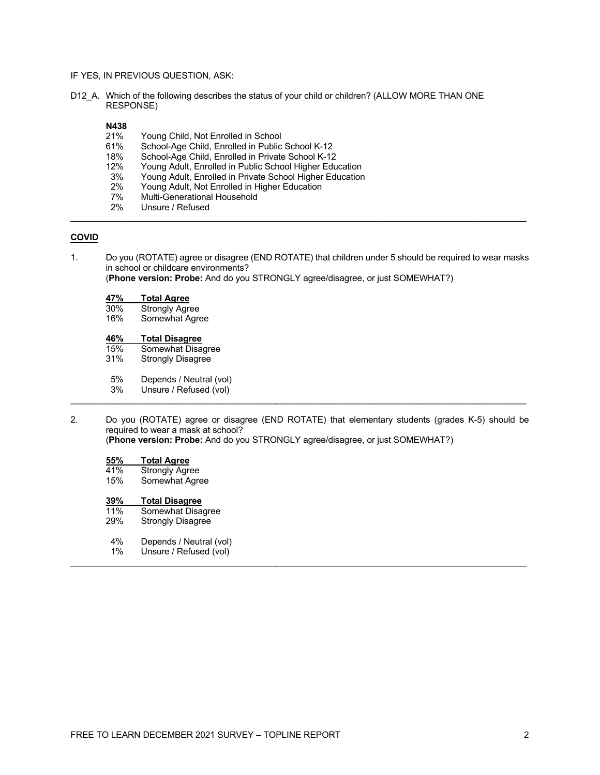- IF YES, IN PREVIOUS QUESTION, ASK:
- D12\_A. Which of the following describes the status of your child or children? (ALLOW MORE THAN ONE RESPONSE)

# **N438**

- 21% Young Child, Not Enrolled in School<br>61% School-Age Child, Enrolled in Public
- 61% School-Age Child, Enrolled in Public School K-12<br>18% School-Age Child, Enrolled in Private School K-12
- 18% School-Age Child, Enrolled in Private School K-12<br>12% Young Adult, Enrolled in Public School Higher Edu
- 12% Young Adult, Enrolled in Public School Higher Education<br>3% Young Adult, Enrolled in Private School Higher Education
- 3% Young Adult, Enrolled in Private School Higher Education
- 2% Young Adult, Not Enrolled in Higher Education<br>7% Multi-Generational Household
- Multi-Generational Household
- 2% Unsure / Refused **\_\_\_\_\_\_\_\_\_\_\_\_\_\_\_\_\_\_\_\_\_\_\_\_\_\_\_\_\_\_\_\_\_\_\_\_\_\_\_\_\_\_\_\_\_\_\_\_\_\_\_\_\_\_\_\_\_\_\_\_\_\_\_\_\_\_\_\_\_\_\_\_\_\_\_\_\_\_\_\_\_\_\_\_\_\_\_\_\_\_\_\_\_**

### **COVID**

1. Do you (ROTATE) agree or disagree (END ROTATE) that children under 5 should be required to wear masks in school or childcare environments?

(**Phone version: Probe:** And do you STRONGLY agree/disagree, or just SOMEWHAT?)

#### **47% Total Agree**

| 30%      | <b>Strongly Agree</b> |  |
|----------|-----------------------|--|
| $\cdots$ |                       |  |

16% Somewhat Agree

# **46% Total Disagree**

- Somewhat Disagree
- 31% Strongly Disagree
- 5% Depends / Neutral (vol)<br>3% Unsure / Refused (vol)
- Unsure / Refused (vol)
- 2. Do you (ROTATE) agree or disagree (END ROTATE) that elementary students (grades K-5) should be required to wear a mask at school?

 $\mathcal{L}_\mathcal{L} = \{ \mathcal{L}_\mathcal{L} = \{ \mathcal{L}_\mathcal{L} = \{ \mathcal{L}_\mathcal{L} = \{ \mathcal{L}_\mathcal{L} = \{ \mathcal{L}_\mathcal{L} = \{ \mathcal{L}_\mathcal{L} = \{ \mathcal{L}_\mathcal{L} = \{ \mathcal{L}_\mathcal{L} = \{ \mathcal{L}_\mathcal{L} = \{ \mathcal{L}_\mathcal{L} = \{ \mathcal{L}_\mathcal{L} = \{ \mathcal{L}_\mathcal{L} = \{ \mathcal{L}_\mathcal{L} = \{ \mathcal{L}_\mathcal{$ 

 $\mathcal{L}_\mathcal{L} = \{ \mathcal{L}_\mathcal{L} = \{ \mathcal{L}_\mathcal{L} = \{ \mathcal{L}_\mathcal{L} = \{ \mathcal{L}_\mathcal{L} = \{ \mathcal{L}_\mathcal{L} = \{ \mathcal{L}_\mathcal{L} = \{ \mathcal{L}_\mathcal{L} = \{ \mathcal{L}_\mathcal{L} = \{ \mathcal{L}_\mathcal{L} = \{ \mathcal{L}_\mathcal{L} = \{ \mathcal{L}_\mathcal{L} = \{ \mathcal{L}_\mathcal{L} = \{ \mathcal{L}_\mathcal{L} = \{ \mathcal{L}_\mathcal{$ 

(**Phone version: Probe:** And do you STRONGLY agree/disagree, or just SOMEWHAT?)

### **55% Total Agree**

| 41%<br>15% | <b>Strongly Agree</b><br>Somewhat Agree |
|------------|-----------------------------------------|
| 39%        | <b>Total Disagree</b>                   |
| 11%        | Somewhat Disagree                       |
| 29%        | <b>Strongly Disagree</b>                |
| 4%         | Depends / Neutral (vol)                 |

1% Unsure / Refused (vol)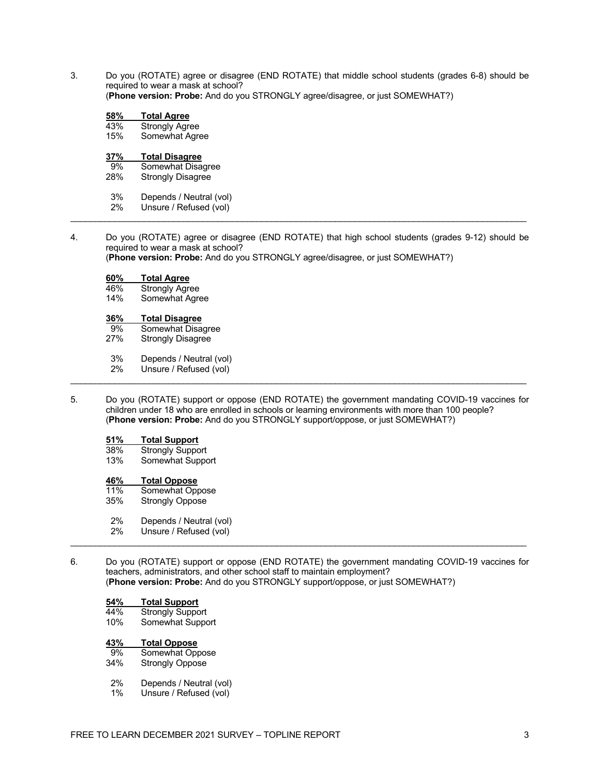3. Do you (ROTATE) agree or disagree (END ROTATE) that middle school students (grades 6-8) should be required to wear a mask at school?

(**Phone version: Probe:** And do you STRONGLY agree/disagree, or just SOMEWHAT?)

| 58% | <b>Total Agree</b>    |  |
|-----|-----------------------|--|
| 43% | <b>Strongly Agree</b> |  |
| 15% | Somewhat Agree        |  |
|     |                       |  |
| 37% | <b>Total Disagree</b> |  |
| 9%  | Somewhat Disagree     |  |

3% Depends / Neutral (vol)

- 2% Unsure / Refused (vol)  $\mathcal{L}_\mathcal{L} = \{ \mathcal{L}_\mathcal{L} = \{ \mathcal{L}_\mathcal{L} = \{ \mathcal{L}_\mathcal{L} = \{ \mathcal{L}_\mathcal{L} = \{ \mathcal{L}_\mathcal{L} = \{ \mathcal{L}_\mathcal{L} = \{ \mathcal{L}_\mathcal{L} = \{ \mathcal{L}_\mathcal{L} = \{ \mathcal{L}_\mathcal{L} = \{ \mathcal{L}_\mathcal{L} = \{ \mathcal{L}_\mathcal{L} = \{ \mathcal{L}_\mathcal{L} = \{ \mathcal{L}_\mathcal{L} = \{ \mathcal{L}_\mathcal{$
- 4. Do you (ROTATE) agree or disagree (END ROTATE) that high school students (grades 9-12) should be required to wear a mask at school?

(**Phone version: Probe:** And do you STRONGLY agree/disagree, or just SOMEWHAT?)

| 60% | <b>Total Agree</b> |
|-----|--------------------|
|     |                    |

- 46% Strongly Agree<br>14% Somewhat Agre
- Somewhat Agree

# **36% Total Disagree**

- 9% Somewhat Disagree<br>27% Strongly Disagree
- Strongly Disagree
- 3% Depends / Neutral (vol)
- 2% Unsure / Refused (vol)  $\mathcal{L}_\mathcal{L} = \{ \mathcal{L}_\mathcal{L} = \{ \mathcal{L}_\mathcal{L} = \{ \mathcal{L}_\mathcal{L} = \{ \mathcal{L}_\mathcal{L} = \{ \mathcal{L}_\mathcal{L} = \{ \mathcal{L}_\mathcal{L} = \{ \mathcal{L}_\mathcal{L} = \{ \mathcal{L}_\mathcal{L} = \{ \mathcal{L}_\mathcal{L} = \{ \mathcal{L}_\mathcal{L} = \{ \mathcal{L}_\mathcal{L} = \{ \mathcal{L}_\mathcal{L} = \{ \mathcal{L}_\mathcal{L} = \{ \mathcal{L}_\mathcal{$
- 5. Do you (ROTATE) support or oppose (END ROTATE) the government mandating COVID-19 vaccines for children under 18 who are enrolled in schools or learning environments with more than 100 people? (**Phone version: Probe:** And do you STRONGLY support/oppose, or just SOMEWHAT?)

### **51% Total Support**

Strongly Support 13% Somewhat Support

#### **46% Total Oppose**

| 11% | Somewhat Oppose         |
|-----|-------------------------|
| 35% | <b>Strongly Oppose</b>  |
| 2%  | Depends / Neutral (vol) |
| 2%  | Unsure / Refused (vol)  |

6. Do you (ROTATE) support or oppose (END ROTATE) the government mandating COVID-19 vaccines for teachers, administrators, and other school staff to maintain employment? (**Phone version: Probe:** And do you STRONGLY support/oppose, or just SOMEWHAT?)

 $\mathcal{L}_\mathcal{L} = \{ \mathcal{L}_\mathcal{L} = \{ \mathcal{L}_\mathcal{L} = \{ \mathcal{L}_\mathcal{L} = \{ \mathcal{L}_\mathcal{L} = \{ \mathcal{L}_\mathcal{L} = \{ \mathcal{L}_\mathcal{L} = \{ \mathcal{L}_\mathcal{L} = \{ \mathcal{L}_\mathcal{L} = \{ \mathcal{L}_\mathcal{L} = \{ \mathcal{L}_\mathcal{L} = \{ \mathcal{L}_\mathcal{L} = \{ \mathcal{L}_\mathcal{L} = \{ \mathcal{L}_\mathcal{L} = \{ \mathcal{L}_\mathcal{$ 

# **54% Total Support**

- 44% Strongly Support<br>10% Somewhat Suppo
- Somewhat Support

#### **43% Total Oppose**

| 9%  | Somewhat Oppose        |
|-----|------------------------|
| 34% | <b>Strongly Oppose</b> |

- 2% Depends / Neutral (vol)<br>1% Unsure / Refused (vol)
- Unsure / Refused (vol)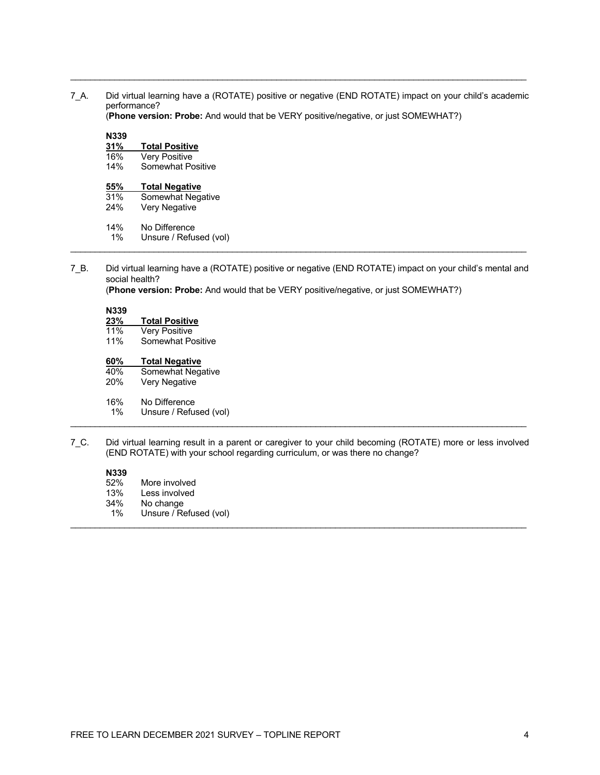7\_A. Did virtual learning have a (ROTATE) positive or negative (END ROTATE) impact on your child's academic performance? (**Phone version: Probe:** And would that be VERY positive/negative, or just SOMEWHAT?)

\_\_\_\_\_\_\_\_\_\_\_\_\_\_\_\_\_\_\_\_\_\_\_\_\_\_\_\_\_\_\_\_\_\_\_\_\_\_\_\_\_\_\_\_\_\_\_\_\_\_\_\_\_\_\_\_\_\_\_\_\_\_\_\_\_\_\_\_\_\_\_\_\_\_\_\_\_\_\_\_\_\_\_\_\_\_\_\_\_\_\_\_\_

**N339**

| NJJY |                          |
|------|--------------------------|
| 31%  | <b>Total Positive</b>    |
| 16%  | <b>Very Positive</b>     |
| 14%  | <b>Somewhat Positive</b> |
| 55%  | <b>Total Negative</b>    |
| 31%  | Somewhat Negative        |
| 24%  | Very Negative            |
| 14%  | No Difference            |
| 1%   | Unsure / Refused (vol)   |

7\_B. Did virtual learning have a (ROTATE) positive or negative (END ROTATE) impact on your child's mental and social health?

 $\mathcal{L}_\mathcal{L} = \{ \mathcal{L}_\mathcal{L} = \{ \mathcal{L}_\mathcal{L} = \{ \mathcal{L}_\mathcal{L} = \{ \mathcal{L}_\mathcal{L} = \{ \mathcal{L}_\mathcal{L} = \{ \mathcal{L}_\mathcal{L} = \{ \mathcal{L}_\mathcal{L} = \{ \mathcal{L}_\mathcal{L} = \{ \mathcal{L}_\mathcal{L} = \{ \mathcal{L}_\mathcal{L} = \{ \mathcal{L}_\mathcal{L} = \{ \mathcal{L}_\mathcal{L} = \{ \mathcal{L}_\mathcal{L} = \{ \mathcal{L}_\mathcal{$ 

(**Phone version: Probe:** And would that be VERY positive/negative, or just SOMEWHAT?)

**N339**

| 23%                     | <b>Total Positive</b>    |  |
|-------------------------|--------------------------|--|
| $\cdot$ $\cdot$ $\cdot$ | $\overline{\phantom{a}}$ |  |

11% Very Positive<br>11% Somewhat Po Somewhat Positive

### **60% Total Negative**

| 40%   | Somewhat Negative      |
|-------|------------------------|
| 20%   | Very Negative          |
| 16%   | No Difference          |
| $1\%$ | Unsure / Refused (vol) |

7\_C. Did virtual learning result in a parent or caregiver to your child becoming (ROTATE) more or less involved (END ROTATE) with your school regarding curriculum, or was there no change?

#### **N339**

- 52% More involved
- 13% Less involved<br>34% No change
- No change
- 1% Unsure / Refused (vol)  $\mathcal{L}_\mathcal{L} = \{ \mathcal{L}_\mathcal{L} = \{ \mathcal{L}_\mathcal{L} = \{ \mathcal{L}_\mathcal{L} = \{ \mathcal{L}_\mathcal{L} = \{ \mathcal{L}_\mathcal{L} = \{ \mathcal{L}_\mathcal{L} = \{ \mathcal{L}_\mathcal{L} = \{ \mathcal{L}_\mathcal{L} = \{ \mathcal{L}_\mathcal{L} = \{ \mathcal{L}_\mathcal{L} = \{ \mathcal{L}_\mathcal{L} = \{ \mathcal{L}_\mathcal{L} = \{ \mathcal{L}_\mathcal{L} = \{ \mathcal{L}_\mathcal{$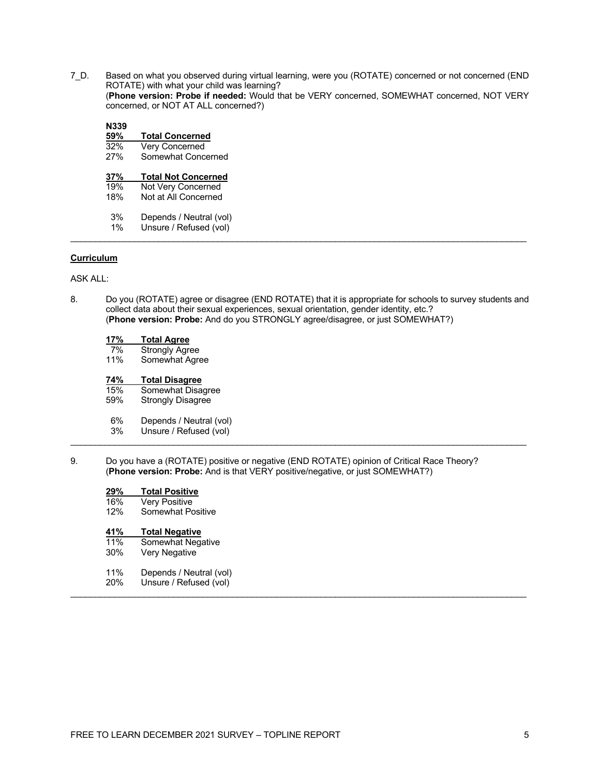7\_D. Based on what you observed during virtual learning, were you (ROTATE) concerned or not concerned (END ROTATE) with what your child was learning? (**Phone version: Probe if needed:** Would that be VERY concerned, SOMEWHAT concerned, NOT VERY concerned, or NOT AT ALL concerned?)

| N339 |                            |
|------|----------------------------|
| 59%  | <b>Total Concerned</b>     |
| 32%  | <b>Very Concerned</b>      |
| 27%  | Somewhat Concerned         |
| 37%  | <b>Total Not Concerned</b> |
| 19%  | Not Very Concerned         |
| 18%  | Not at All Concerned       |
| 3%   | Depends / Neutral (vol)    |
| 1%   | Unsure / Refused (vol)     |

#### **Curriculum**

ASK ALL:

8. Do you (ROTATE) agree or disagree (END ROTATE) that it is appropriate for schools to survey students and collect data about their sexual experiences, sexual orientation, gender identity, etc.? (**Phone version: Probe:** And do you STRONGLY agree/disagree, or just SOMEWHAT?)

 $\mathcal{L}_\mathcal{L} = \{ \mathcal{L}_\mathcal{L} = \{ \mathcal{L}_\mathcal{L} = \{ \mathcal{L}_\mathcal{L} = \{ \mathcal{L}_\mathcal{L} = \{ \mathcal{L}_\mathcal{L} = \{ \mathcal{L}_\mathcal{L} = \{ \mathcal{L}_\mathcal{L} = \{ \mathcal{L}_\mathcal{L} = \{ \mathcal{L}_\mathcal{L} = \{ \mathcal{L}_\mathcal{L} = \{ \mathcal{L}_\mathcal{L} = \{ \mathcal{L}_\mathcal{L} = \{ \mathcal{L}_\mathcal{L} = \{ \mathcal{L}_\mathcal{$ 

| 17% | <b>Total Agree</b>    |
|-----|-----------------------|
| 7%  | <b>Strongly Agree</b> |
| 11% | Somewhat Agree        |

#### **74% Total Disagree**

15% Somewhat Disagree<br>59% Strongly Disagree

- Strongly Disagree
- 6% Depends / Neutral (vol)<br>3% Unsure / Refused (vol)
- Unsure / Refused (vol)
- 9. Do you have a (ROTATE) positive or negative (END ROTATE) opinion of Critical Race Theory? (**Phone version: Probe:** And is that VERY positive/negative, or just SOMEWHAT?)

 $\mathcal{L}_\mathcal{L} = \{ \mathcal{L}_\mathcal{L} = \{ \mathcal{L}_\mathcal{L} = \{ \mathcal{L}_\mathcal{L} = \{ \mathcal{L}_\mathcal{L} = \{ \mathcal{L}_\mathcal{L} = \{ \mathcal{L}_\mathcal{L} = \{ \mathcal{L}_\mathcal{L} = \{ \mathcal{L}_\mathcal{L} = \{ \mathcal{L}_\mathcal{L} = \{ \mathcal{L}_\mathcal{L} = \{ \mathcal{L}_\mathcal{L} = \{ \mathcal{L}_\mathcal{L} = \{ \mathcal{L}_\mathcal{L} = \{ \mathcal{L}_\mathcal{$ 

| 29% | <b>Total Positive</b>   |
|-----|-------------------------|
| 16% | <b>Very Positive</b>    |
| 12% | Somewhat Positive       |
| 41% | <b>Total Negative</b>   |
| 11% | Somewhat Negative       |
| 30% | Very Negative           |
| 11% | Depends / Neutral (vol) |
| 20% | Unsure / Refused (vol)  |
|     |                         |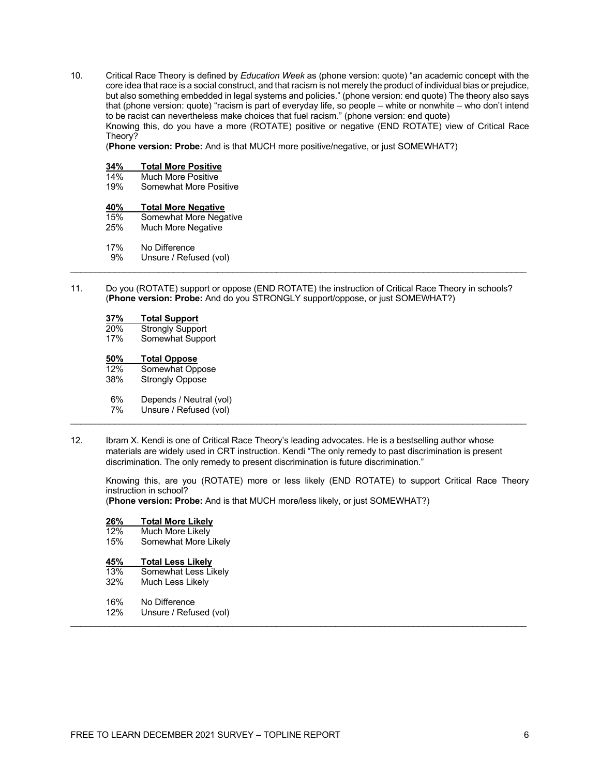10. Critical Race Theory is defined by *Education Week* as (phone version: quote) "an academic concept with the core idea that race is a social construct, and that racism is not merely the product of individual bias or prejudice, but also something embedded in legal systems and policies." (phone version: end quote) The theory also says that (phone version: quote) "racism is part of everyday life, so people – white or nonwhite – who don't intend to be racist can nevertheless make choices that fuel racism." (phone version: end quote) Knowing this, do you have a more (ROTATE) positive or negative (END ROTATE) view of Critical Race Theory?

(**Phone version: Probe:** And is that MUCH more positive/negative, or just SOMEWHAT?)

# **34% Total More Positive**

### 14% Much More Positive<br>19% Somewhat More Pos

Somewhat More Positive

### **40% Total More Negative**

- Somewhat More Negative
- 25% Much More Negative
- 17% No Difference
- 9% Unsure / Refused (vol)
- 11. Do you (ROTATE) support or oppose (END ROTATE) the instruction of Critical Race Theory in schools? (**Phone version: Probe:** And do you STRONGLY support/oppose, or just SOMEWHAT?)

 $\mathcal{L}_\mathcal{L} = \{ \mathcal{L}_\mathcal{L} = \{ \mathcal{L}_\mathcal{L} = \{ \mathcal{L}_\mathcal{L} = \{ \mathcal{L}_\mathcal{L} = \{ \mathcal{L}_\mathcal{L} = \{ \mathcal{L}_\mathcal{L} = \{ \mathcal{L}_\mathcal{L} = \{ \mathcal{L}_\mathcal{L} = \{ \mathcal{L}_\mathcal{L} = \{ \mathcal{L}_\mathcal{L} = \{ \mathcal{L}_\mathcal{L} = \{ \mathcal{L}_\mathcal{L} = \{ \mathcal{L}_\mathcal{L} = \{ \mathcal{L}_\mathcal{$ 

# **37% Total Support**

20% Strongly Support<br>17% Somewhat Suppo

Somewhat Support

#### **50% Total Oppose**

12% Somewhat Oppose 38% Strongly Oppose 6% Depends / Neutral (vol)<br>7% Unsure / Refused (vol) Unsure / Refused (vol)  $\mathcal{L}_\mathcal{L} = \{ \mathcal{L}_\mathcal{L} = \{ \mathcal{L}_\mathcal{L} = \{ \mathcal{L}_\mathcal{L} = \{ \mathcal{L}_\mathcal{L} = \{ \mathcal{L}_\mathcal{L} = \{ \mathcal{L}_\mathcal{L} = \{ \mathcal{L}_\mathcal{L} = \{ \mathcal{L}_\mathcal{L} = \{ \mathcal{L}_\mathcal{L} = \{ \mathcal{L}_\mathcal{L} = \{ \mathcal{L}_\mathcal{L} = \{ \mathcal{L}_\mathcal{L} = \{ \mathcal{L}_\mathcal{L} = \{ \mathcal{L}_\mathcal{$ 

12. Ibram X. Kendi is one of Critical Race Theory's leading advocates. He is a bestselling author whose materials are widely used in CRT instruction. Kendi "The only remedy to past discrimination is present discrimination. The only remedy to present discrimination is future discrimination."

 $\mathcal{L}_\mathcal{L} = \{ \mathcal{L}_\mathcal{L} = \{ \mathcal{L}_\mathcal{L} = \{ \mathcal{L}_\mathcal{L} = \{ \mathcal{L}_\mathcal{L} = \{ \mathcal{L}_\mathcal{L} = \{ \mathcal{L}_\mathcal{L} = \{ \mathcal{L}_\mathcal{L} = \{ \mathcal{L}_\mathcal{L} = \{ \mathcal{L}_\mathcal{L} = \{ \mathcal{L}_\mathcal{L} = \{ \mathcal{L}_\mathcal{L} = \{ \mathcal{L}_\mathcal{L} = \{ \mathcal{L}_\mathcal{L} = \{ \mathcal{L}_\mathcal{$ 

Knowing this, are you (ROTATE) more or less likely (END ROTATE) to support Critical Race Theory instruction in school?

(**Phone version: Probe:** And is that MUCH more/less likely, or just SOMEWHAT?)

#### **26% Total More Likely**

| 12%     | Much More Likely |  |
|---------|------------------|--|
| $1 - 0$ | .                |  |

15% Somewhat More Likely

### **45% Total Less Likely**

- 13% Somewhat Less Likely<br>32% Much Less Likely
- **Much Less Likely**
- 16% No Difference<br>12% Unsure / Refu
- Unsure / Refused (vol)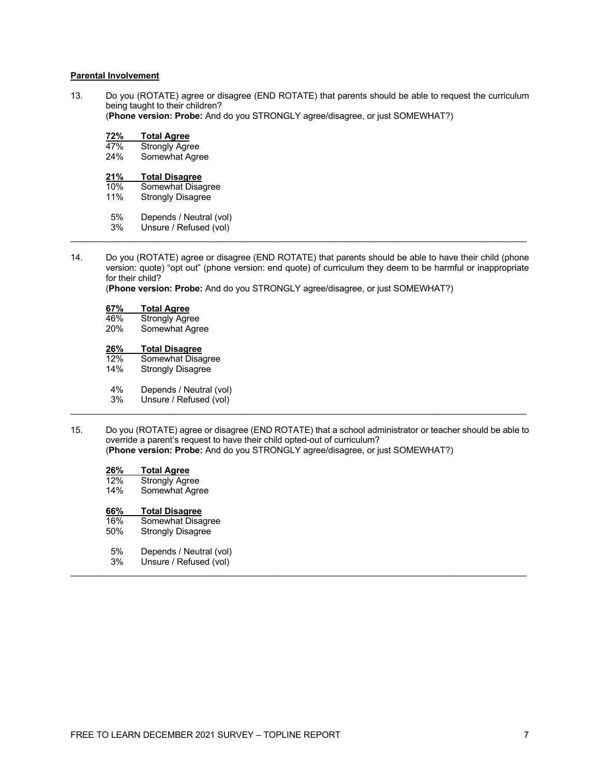#### **Parental Involvement**

13. Do you (ROTATE) agree or disagree (END ROTATE) that parents should be able to request the curriculum being taught to their children? (**Phone version: Probe:** And do you STRONGLY agree/disagree, or just SOMEWHAT?)

**72% Total Agree** 47% Strongly Agree Somewhat Agree **21% Total Disagree** 10% Somewhat Disagree<br>11% Strongly Disagree Strongly Disagree

- 5% Depends / Neutral (vol)<br>3% Unsure / Refused (vol)
- Unsure / Refused (vol)  $\mathcal{L}_\mathcal{L} = \{ \mathcal{L}_\mathcal{L} = \{ \mathcal{L}_\mathcal{L} = \{ \mathcal{L}_\mathcal{L} = \{ \mathcal{L}_\mathcal{L} = \{ \mathcal{L}_\mathcal{L} = \{ \mathcal{L}_\mathcal{L} = \{ \mathcal{L}_\mathcal{L} = \{ \mathcal{L}_\mathcal{L} = \{ \mathcal{L}_\mathcal{L} = \{ \mathcal{L}_\mathcal{L} = \{ \mathcal{L}_\mathcal{L} = \{ \mathcal{L}_\mathcal{L} = \{ \mathcal{L}_\mathcal{L} = \{ \mathcal{L}_\mathcal{$
- 14. Do you (ROTATE) agree or disagree (END ROTATE) that parents should be able to have their child (phone version: quote) "opt out" (phone version: end quote) of curriculum they deem to be harmful or inappropriate for their child?

(**Phone version: Probe:** And do you STRONGLY agree/disagree, or just SOMEWHAT?)

| 67% | <b>Total Agree</b> |
|-----|--------------------|
|     |                    |

| 46% | <b>Strongly Agree</b> |
|-----|-----------------------|
| 20% | Somewhat Agree        |

### **26% Total Disagree**

| 12% | Somewhat Disagree        |  |
|-----|--------------------------|--|
| 14% | <b>Strongly Disagree</b> |  |
| 4%  | Depends / Neutral (vol)  |  |

- 3% Unsure / Refused (vol)
- $\mathcal{L}_\mathcal{L} = \{ \mathcal{L}_\mathcal{L} = \{ \mathcal{L}_\mathcal{L} = \{ \mathcal{L}_\mathcal{L} = \{ \mathcal{L}_\mathcal{L} = \{ \mathcal{L}_\mathcal{L} = \{ \mathcal{L}_\mathcal{L} = \{ \mathcal{L}_\mathcal{L} = \{ \mathcal{L}_\mathcal{L} = \{ \mathcal{L}_\mathcal{L} = \{ \mathcal{L}_\mathcal{L} = \{ \mathcal{L}_\mathcal{L} = \{ \mathcal{L}_\mathcal{L} = \{ \mathcal{L}_\mathcal{L} = \{ \mathcal{L}_\mathcal{$ 15. Do you (ROTATE) agree or disagree (END ROTATE) that a school administrator or teacher should be able to override a parent's request to have their child opted-out of curriculum?

 $\mathcal{L}_\mathcal{L} = \{ \mathcal{L}_\mathcal{L} = \{ \mathcal{L}_\mathcal{L} = \{ \mathcal{L}_\mathcal{L} = \{ \mathcal{L}_\mathcal{L} = \{ \mathcal{L}_\mathcal{L} = \{ \mathcal{L}_\mathcal{L} = \{ \mathcal{L}_\mathcal{L} = \{ \mathcal{L}_\mathcal{L} = \{ \mathcal{L}_\mathcal{L} = \{ \mathcal{L}_\mathcal{L} = \{ \mathcal{L}_\mathcal{L} = \{ \mathcal{L}_\mathcal{L} = \{ \mathcal{L}_\mathcal{L} = \{ \mathcal{L}_\mathcal{$ 

(**Phone version: Probe:** And do you STRONGLY agree/disagree, or just SOMEWHAT?)

| 26% | <b>Total Agree</b> |  |  |
|-----|--------------------|--|--|
| 101 | $\sim$             |  |  |

12% Strongly Agree 14% Somewhat Agree

### **66% Total Disagree**

- 16% Somewhat Disagree<br>50% Strongly Disagree
- Strongly Disagree
- 5% Depends / Neutral (vol)<br>3% Unsure / Refused (vol)
- Unsure / Refused (vol)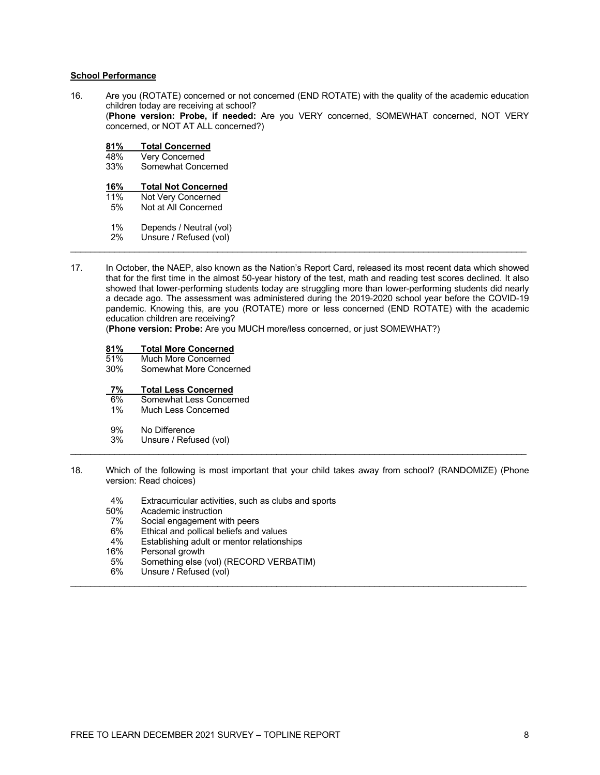#### **School Performance**

16. Are you (ROTATE) concerned or not concerned (END ROTATE) with the quality of the academic education children today are receiving at school? (**Phone version: Probe, if needed:** Are you VERY concerned, SOMEWHAT concerned, NOT VERY concerned, or NOT AT ALL concerned?)

| 81% | <b>Total Concerned</b>     |
|-----|----------------------------|
| 48% | Very Concerned             |
| 33% | Somewhat Concerned         |
| 16% | <b>Total Not Concerned</b> |
| 11% | Not Very Concerned         |
| 5%  | Not at All Concerned       |
| 1%  | Depends / Neutral (vol)    |
| 2%  | Unsure / Refused (vol)     |

17. In October, the NAEP, also known as the Nation's Report Card, released its most recent data which showed that for the first time in the almost 50-year history of the test, math and reading test scores declined. It also showed that lower-performing students today are struggling more than lower-performing students did nearly a decade ago. The assessment was administered during the 2019-2020 school year before the COVID-19 pandemic. Knowing this, are you (ROTATE) more or less concerned (END ROTATE) with the academic education children are receiving?

 $\mathcal{L}_\mathcal{L} = \{ \mathcal{L}_\mathcal{L} = \{ \mathcal{L}_\mathcal{L} = \{ \mathcal{L}_\mathcal{L} = \{ \mathcal{L}_\mathcal{L} = \{ \mathcal{L}_\mathcal{L} = \{ \mathcal{L}_\mathcal{L} = \{ \mathcal{L}_\mathcal{L} = \{ \mathcal{L}_\mathcal{L} = \{ \mathcal{L}_\mathcal{L} = \{ \mathcal{L}_\mathcal{L} = \{ \mathcal{L}_\mathcal{L} = \{ \mathcal{L}_\mathcal{L} = \{ \mathcal{L}_\mathcal{L} = \{ \mathcal{L}_\mathcal{$ 

(**Phone version: Probe:** Are you MUCH more/less concerned, or just SOMEWHAT?)

| <b>Total More Concerned</b><br>81% |
|------------------------------------|
|------------------------------------|

- 51% Much More Concerned
- 30% Somewhat More Concerned

# **7% Total Less Concerned**

- Somewhat Less Concerned
- 1% Much Less Concerned

#### 9% No Difference

- 3% Unsure / Refused (vol)
- 18. Which of the following is most important that your child takes away from school? (RANDOMIZE) (Phone version: Read choices)

 $\mathcal{L}_\mathcal{L} = \{ \mathcal{L}_\mathcal{L} = \{ \mathcal{L}_\mathcal{L} = \{ \mathcal{L}_\mathcal{L} = \{ \mathcal{L}_\mathcal{L} = \{ \mathcal{L}_\mathcal{L} = \{ \mathcal{L}_\mathcal{L} = \{ \mathcal{L}_\mathcal{L} = \{ \mathcal{L}_\mathcal{L} = \{ \mathcal{L}_\mathcal{L} = \{ \mathcal{L}_\mathcal{L} = \{ \mathcal{L}_\mathcal{L} = \{ \mathcal{L}_\mathcal{L} = \{ \mathcal{L}_\mathcal{L} = \{ \mathcal{L}_\mathcal{$ 

- 4% Extracurricular activities, such as clubs and sports<br>50% Academic instruction
- 50% Academic instruction<br>7% Social engagement w
- 7% Social engagement with peers<br>6% Ethical and pollical beliefs and
- 6% Ethical and pollical beliefs and values<br>4% Establishing adult or mentor relationsh
- 4% Establishing adult or mentor relationships<br>16% Personal growth
- 16% Personal growth<br>5% Something else (
- 5% Something else (vol) (RECORD VERBATIM)<br>6% Unsure / Refused (vol)
- Unsure / Refused (vol)  $\mathcal{L}_\mathcal{L} = \{ \mathcal{L}_\mathcal{L} = \{ \mathcal{L}_\mathcal{L} = \{ \mathcal{L}_\mathcal{L} = \{ \mathcal{L}_\mathcal{L} = \{ \mathcal{L}_\mathcal{L} = \{ \mathcal{L}_\mathcal{L} = \{ \mathcal{L}_\mathcal{L} = \{ \mathcal{L}_\mathcal{L} = \{ \mathcal{L}_\mathcal{L} = \{ \mathcal{L}_\mathcal{L} = \{ \mathcal{L}_\mathcal{L} = \{ \mathcal{L}_\mathcal{L} = \{ \mathcal{L}_\mathcal{L} = \{ \mathcal{L}_\mathcal{$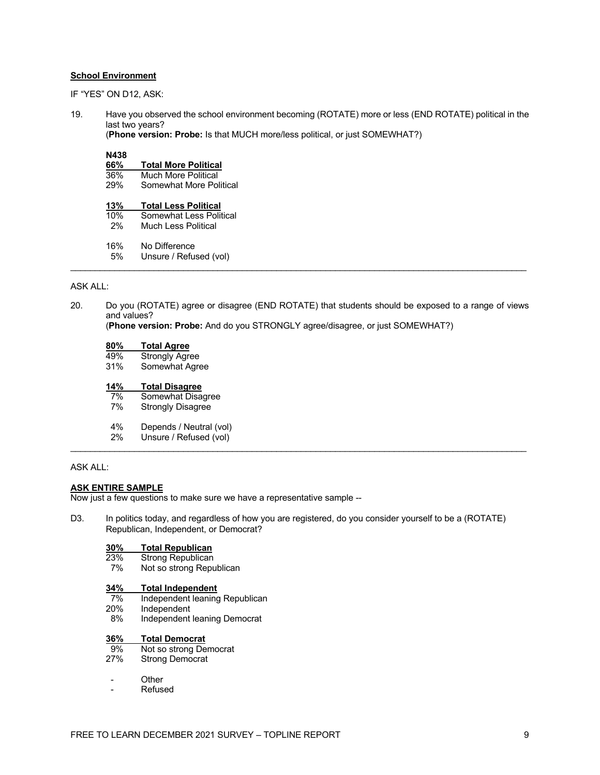### **School Environment**

IF "YES" ON D12, ASK:

19. Have you observed the school environment becoming (ROTATE) more or less (END ROTATE) political in the last two years?

(**Phone version: Probe:** Is that MUCH more/less political, or just SOMEWHAT?)

#### **N438**

| 66% | <b>Total More Political</b> |  |  |
|-----|-----------------------------|--|--|
| 36% | Much More Political         |  |  |
| 29% | Somewhat More Political     |  |  |
| 13% | <b>Total Less Political</b> |  |  |
| 10% | Somewhat Less Political     |  |  |
| 2%  | Much Less Political         |  |  |
| 16% | No Difference               |  |  |
| 5%  | Unsure / Refused (vol)      |  |  |
|     |                             |  |  |

#### ASK ALL:

20. Do you (ROTATE) agree or disagree (END ROTATE) that students should be exposed to a range of views and values?

(**Phone version: Probe:** And do you STRONGLY agree/disagree, or just SOMEWHAT?)

| 80% | <b>Total Agree</b>       |
|-----|--------------------------|
| 49% | <b>Strongly Agree</b>    |
| 31% | Somewhat Agree           |
| 14% | <b>Total Disagree</b>    |
| 7%  | Somewhat Disagree        |
| 7%  | <b>Strongly Disagree</b> |
| 4%  | Depends / Neutral (vol)  |
| 2%  | Unsure / Refused (vol)   |

#### ASK ALL:

#### **ASK ENTIRE SAMPLE**

Now just a few questions to make sure we have a representative sample --

D3. In politics today, and regardless of how you are registered, do you consider yourself to be a (ROTATE) Republican, Independent, or Democrat?

 $\mathcal{L}_\mathcal{L} = \{ \mathcal{L}_\mathcal{L} = \{ \mathcal{L}_\mathcal{L} = \{ \mathcal{L}_\mathcal{L} = \{ \mathcal{L}_\mathcal{L} = \{ \mathcal{L}_\mathcal{L} = \{ \mathcal{L}_\mathcal{L} = \{ \mathcal{L}_\mathcal{L} = \{ \mathcal{L}_\mathcal{L} = \{ \mathcal{L}_\mathcal{L} = \{ \mathcal{L}_\mathcal{L} = \{ \mathcal{L}_\mathcal{L} = \{ \mathcal{L}_\mathcal{L} = \{ \mathcal{L}_\mathcal{L} = \{ \mathcal{L}_\mathcal{$ 

# **30% Total Republican**

- 23% Strong Republican<br>7% Not so strong Repu
- Not so strong Republican

# **34% Total Independent**

- 7% Independent leaning Republican<br>20% Independent
- 20% Independent<br>8% Independent
- Independent leaning Democrat

# **36% Total Democrat**

- 9% Not so strong Democrat<br>27% Strong Democrat
- Strong Democrat
- **Other**
- **Refused**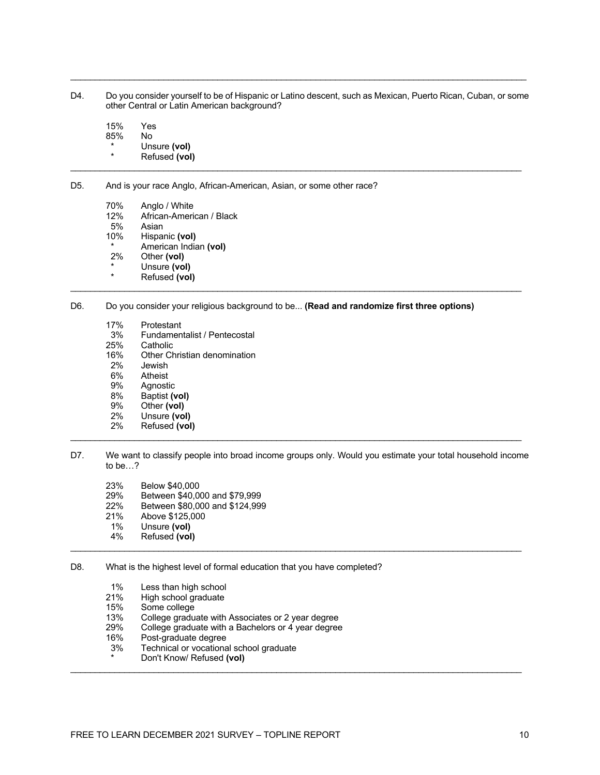D4. Do you consider yourself to be of Hispanic or Latino descent, such as Mexican, Puerto Rican, Cuban, or some other Central or Latin American background?

\_\_\_\_\_\_\_\_\_\_\_\_\_\_\_\_\_\_\_\_\_\_\_\_\_\_\_\_\_\_\_\_\_\_\_\_\_\_\_\_\_\_\_\_\_\_\_\_\_\_\_\_\_\_\_\_\_\_\_\_\_\_\_\_\_\_\_\_\_\_\_\_\_\_\_\_\_\_\_\_\_\_\_\_\_\_\_\_\_\_\_\_\_

15% Yes 85% No \* Unsure **(vol) Refused (vol)**  $\mathcal{L}_\mathcal{L} = \{ \mathcal{L}_\mathcal{L} = \{ \mathcal{L}_\mathcal{L} = \{ \mathcal{L}_\mathcal{L} = \{ \mathcal{L}_\mathcal{L} = \{ \mathcal{L}_\mathcal{L} = \{ \mathcal{L}_\mathcal{L} = \{ \mathcal{L}_\mathcal{L} = \{ \mathcal{L}_\mathcal{L} = \{ \mathcal{L}_\mathcal{L} = \{ \mathcal{L}_\mathcal{L} = \{ \mathcal{L}_\mathcal{L} = \{ \mathcal{L}_\mathcal{L} = \{ \mathcal{L}_\mathcal{L} = \{ \mathcal{L}_\mathcal{$ 

- D5. And is your race Anglo, African-American, Asian, or some other race?
	- 70% Anglo / White<br>12% African-Ameri 12% African-American / Black<br>5% Asian 5% Asian<br>10% Hispar Hispanic (vol) \* American Indian **(vol)** Other (vol) \* Unsure **(vol) Refused (vol)**
- D6. Do you consider your religious background to be... **(Read and randomize first three options)**

 $\mathcal{L}_\mathcal{L} = \{ \mathcal{L}_\mathcal{L} = \{ \mathcal{L}_\mathcal{L} = \{ \mathcal{L}_\mathcal{L} = \{ \mathcal{L}_\mathcal{L} = \{ \mathcal{L}_\mathcal{L} = \{ \mathcal{L}_\mathcal{L} = \{ \mathcal{L}_\mathcal{L} = \{ \mathcal{L}_\mathcal{L} = \{ \mathcal{L}_\mathcal{L} = \{ \mathcal{L}_\mathcal{L} = \{ \mathcal{L}_\mathcal{L} = \{ \mathcal{L}_\mathcal{L} = \{ \mathcal{L}_\mathcal{L} = \{ \mathcal{L}_\mathcal{$ 

- 17% Protestant
- 3% Fundamentalist / Pentecostal<br>25% Catholic
- 25% Catholic<br>16% Other Ch
- 16% Other Christian denomination<br>2% Jewish
- .lewish
- 6% Atheist
- 9% Agnostic<br>8% Baptist (v
- 8% Baptist **(vol)**
- 9% Other **(vol)**
- 2% Unsure **(vol)**
- 2% Refused **(vol)** \_\_\_\_\_\_\_\_\_\_\_\_\_\_\_\_\_\_\_\_\_\_\_\_\_\_\_\_\_\_\_\_\_\_\_\_\_\_\_\_\_\_\_\_\_\_\_\_\_\_\_\_\_\_\_\_\_\_\_\_\_\_\_\_\_\_\_\_\_\_\_\_\_\_\_\_\_\_\_\_\_\_\_\_\_\_\_\_\_\_\_\_
- D7. We want to classify people into broad income groups only. Would you estimate your total household income to be…?
	- 23% Below \$40,000
	- 29% Between \$40,000 and \$79,999
	- Between \$80,000 and \$124,999
	- 21% Above \$125,000
	- 1% Unsure **(vol)**
- 4% Refused **(vol)**  $\mathcal{L}_\mathcal{L} = \{ \mathcal{L}_\mathcal{L} = \{ \mathcal{L}_\mathcal{L} = \{ \mathcal{L}_\mathcal{L} = \{ \mathcal{L}_\mathcal{L} = \{ \mathcal{L}_\mathcal{L} = \{ \mathcal{L}_\mathcal{L} = \{ \mathcal{L}_\mathcal{L} = \{ \mathcal{L}_\mathcal{L} = \{ \mathcal{L}_\mathcal{L} = \{ \mathcal{L}_\mathcal{L} = \{ \mathcal{L}_\mathcal{L} = \{ \mathcal{L}_\mathcal{L} = \{ \mathcal{L}_\mathcal{L} = \{ \mathcal{L}_\mathcal{$
- D8. What is the highest level of formal education that you have completed?
	- 1% Less than high school<br>21% High school graduate
	- 21% High school graduate<br>15% Some college
	- Some college
	- 13% College graduate with Associates or 2 year degree
	- 29% College graduate with a Bachelors or 4 year degree
	- 16% Post-graduate degree
	- 3% Technical or vocational school graduate
- Don't Know/ Refused (vol)  $\mathcal{L}_\mathcal{L} = \{ \mathcal{L}_\mathcal{L} = \{ \mathcal{L}_\mathcal{L} = \{ \mathcal{L}_\mathcal{L} = \{ \mathcal{L}_\mathcal{L} = \{ \mathcal{L}_\mathcal{L} = \{ \mathcal{L}_\mathcal{L} = \{ \mathcal{L}_\mathcal{L} = \{ \mathcal{L}_\mathcal{L} = \{ \mathcal{L}_\mathcal{L} = \{ \mathcal{L}_\mathcal{L} = \{ \mathcal{L}_\mathcal{L} = \{ \mathcal{L}_\mathcal{L} = \{ \mathcal{L}_\mathcal{L} = \{ \mathcal{L}_\mathcal{$